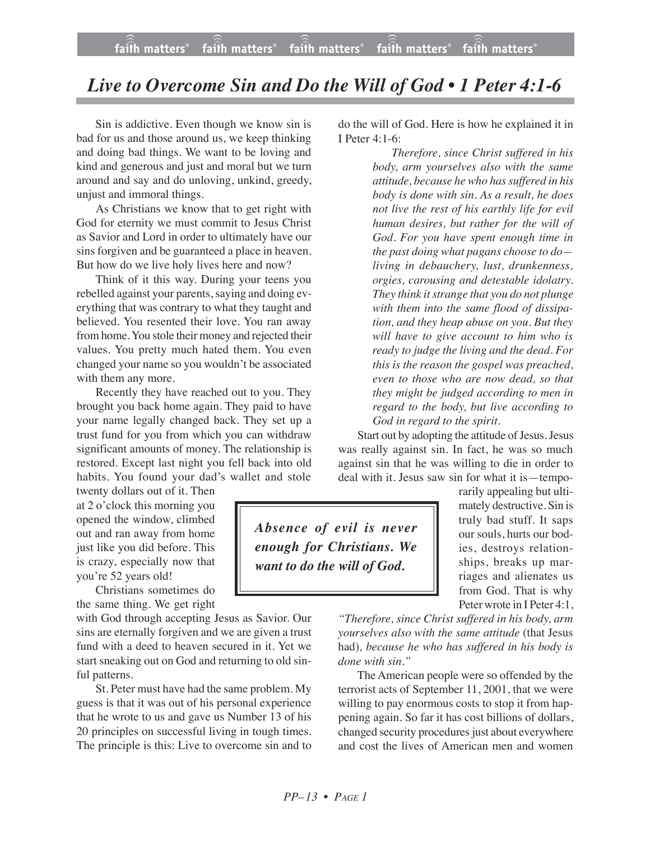## *Live to Overcome Sin and Do the Will of God • 1 Peter 4:1-6*

Sin is addictive. Even though we know sin is bad for us and those around us, we keep thinking and doing bad things. We want to be loving and kind and generous and just and moral but we turn around and say and do unloving, unkind, greedy, unjust and immoral things.

As Christians we know that to get right with God for eternity we must commit to Jesus Christ as Savior and Lord in order to ultimately have our sins forgiven and be guaranteed a place in heaven. But how do we live holy lives here and now?

Think of it this way. During your teens you rebelled against your parents, saying and doing everything that was contrary to what they taught and believed. You resented their love. You ran away from home. You stole their money and rejected their values. You pretty much hated them. You even changed your name so you wouldn't be associated with them any more.

Recently they have reached out to you. They brought you back home again. They paid to have your name legally changed back. They set up a trust fund for you from which you can withdraw significant amounts of money. The relationship is restored. Except last night you fell back into old habits. You found your dad's wallet and stole

twenty dollars out of it. Then at 2 o'clock this morning you opened the window, climbed out and ran away from home just like you did before. This is crazy, especially now that you're 52 years old!

Christians sometimes do the same thing. We get right

with God through accepting Jesus as Savior. Our sins are eternally forgiven and we are given a trust fund with a deed to heaven secured in it. Yet we start sneaking out on God and returning to old sinful patterns.

St. Peter must have had the same problem. My guess is that it was out of his personal experience that he wrote to us and gave us Number 13 of his 20 principles on successful living in tough times. The principle is this: Live to overcome sin and to do the will of God. Here is how he explained it in I Peter 4:1-6:

> *Therefore, since Christ suffered in his body, arm yourselves also with the same attitude, because he who hassuffered in his body is done with sin. As a result, he does not live the rest of his earthly life for evil human desires, but rather for the will of God. For you have spent enough time in the past doing what pagans choose to do living in debauchery, lust, drunkenness, orgies, carousing and detestable idolatry. They think itstrange that you do not plunge with them into the same flood of dissipation, and they heap abuse on you. But they will have to give account to him who is ready to judge the living and the dead. For this is the reason the gospel was preached, even to those who are now dead, so that they might be judged according to men in regard to the body, but live according to God in regard to the spirit.*

Start out by adopting the attitude of Jesus. Jesus was really against sin. In fact, he was so much against sin that he was willing to die in order to deal with it. Jesus saw sin for what it is—tempo-

*Absence of evil is never enough for Christians. We want to do the will of God.*

truly bad stuff. It saps our souls, hurts our bodies, destroys relationships, breaks up marriages and alienates us from God. That is why Peter wrote in I Peter 4:1,

rarily appealing but ultimately destructive. Sin is

*"Therefore, since Christ suffered in his body, arm yourselves also with the same attitude* (that Jesus had)*, because he who has suffered in his body is done with sin."*

The American people were so offended by the terrorist acts of September 11, 2001, that we were willing to pay enormous costs to stop it from happening again. So far it has cost billions of dollars, changed security procedures just about everywhere and cost the lives of American men and women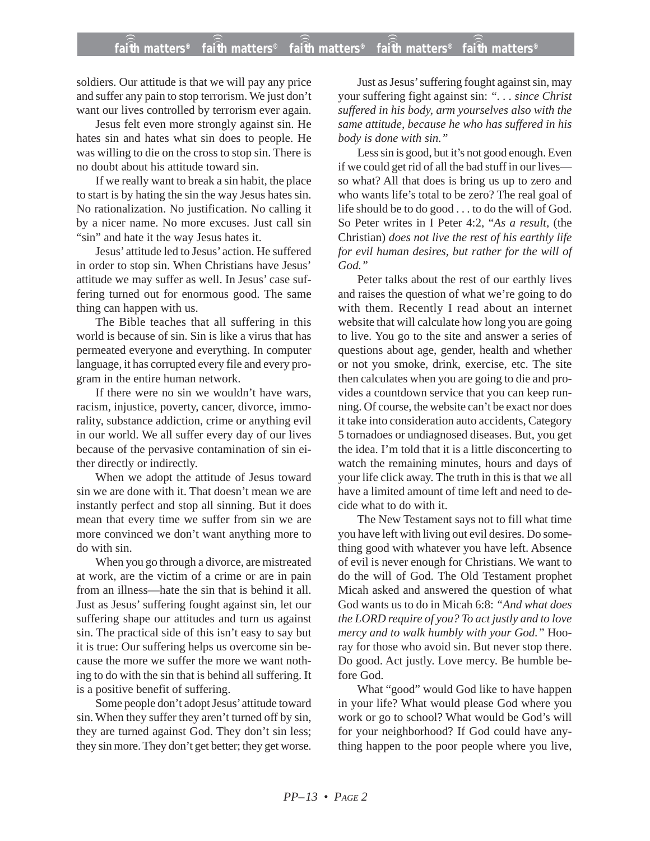## **faith matters® faith matters® faith matters® faith matters® faith matters®** ))) ))) ))) ))) )))

soldiers. Our attitude is that we will pay any price and suffer any pain to stop terrorism. We just don't want our lives controlled by terrorism ever again.

Jesus felt even more strongly against sin. He hates sin and hates what sin does to people. He was willing to die on the cross to stop sin. There is no doubt about his attitude toward sin.

If we really want to break a sin habit, the place to start is by hating the sin the way Jesus hates sin. No rationalization. No justification. No calling it by a nicer name. No more excuses. Just call sin "sin" and hate it the way Jesus hates it.

Jesus' attitude led to Jesus' action. He suffered in order to stop sin. When Christians have Jesus' attitude we may suffer as well. In Jesus' case suffering turned out for enormous good. The same thing can happen with us.

The Bible teaches that all suffering in this world is because of sin. Sin is like a virus that has permeated everyone and everything. In computer language, it has corrupted every file and every program in the entire human network.

If there were no sin we wouldn't have wars, racism, injustice, poverty, cancer, divorce, immorality, substance addiction, crime or anything evil in our world. We all suffer every day of our lives because of the pervasive contamination of sin either directly or indirectly.

When we adopt the attitude of Jesus toward sin we are done with it. That doesn't mean we are instantly perfect and stop all sinning. But it does mean that every time we suffer from sin we are more convinced we don't want anything more to do with sin.

When you go through a divorce, are mistreated at work, are the victim of a crime or are in pain from an illness—hate the sin that is behind it all. Just as Jesus' suffering fought against sin, let our suffering shape our attitudes and turn us against sin. The practical side of this isn't easy to say but it is true: Our suffering helps us overcome sin because the more we suffer the more we want nothing to do with the sin that is behind all suffering. It is a positive benefit of suffering.

Some people don't adopt Jesus' attitude toward sin. When they suffer they aren't turned off by sin, they are turned against God. They don't sin less; they sin more. They don't get better; they get worse.

Just as Jesus' suffering fought against sin, may your suffering fight against sin: *". . . since Christ suffered in his body, arm yourselves also with the same attitude, because he who has suffered in his body is done with sin."*

Less sin is good, but it's not good enough. Even if we could get rid of all the bad stuff in our lives so what? All that does is bring us up to zero and who wants life's total to be zero? The real goal of life should be to do good . . . to do the will of God. So Peter writes in I Peter 4:2, "*As a result,* (the Christian) *does not live the rest of his earthly life for evil human desires, but rather for the will of God."*

Peter talks about the rest of our earthly lives and raises the question of what we're going to do with them. Recently I read about an internet website that will calculate how long you are going to live. You go to the site and answer a series of questions about age, gender, health and whether or not you smoke, drink, exercise, etc. The site then calculates when you are going to die and provides a countdown service that you can keep running. Of course, the website can't be exact nor does it take into consideration auto accidents, Category 5 tornadoes or undiagnosed diseases. But, you get the idea. I'm told that it is a little disconcerting to watch the remaining minutes, hours and days of your life click away. The truth in this is that we all have a limited amount of time left and need to decide what to do with it.

The New Testament says not to fill what time you have left with living out evil desires. Do something good with whatever you have left. Absence of evil is never enough for Christians. We want to do the will of God. The Old Testament prophet Micah asked and answered the question of what God wants us to do in Micah 6:8: *"And what does the LORD require of you? To act justly and to love mercy and to walk humbly with your God."* Hooray for those who avoid sin. But never stop there. Do good. Act justly. Love mercy. Be humble before God.

What "good" would God like to have happen in your life? What would please God where you work or go to school? What would be God's will for your neighborhood? If God could have anything happen to the poor people where you live,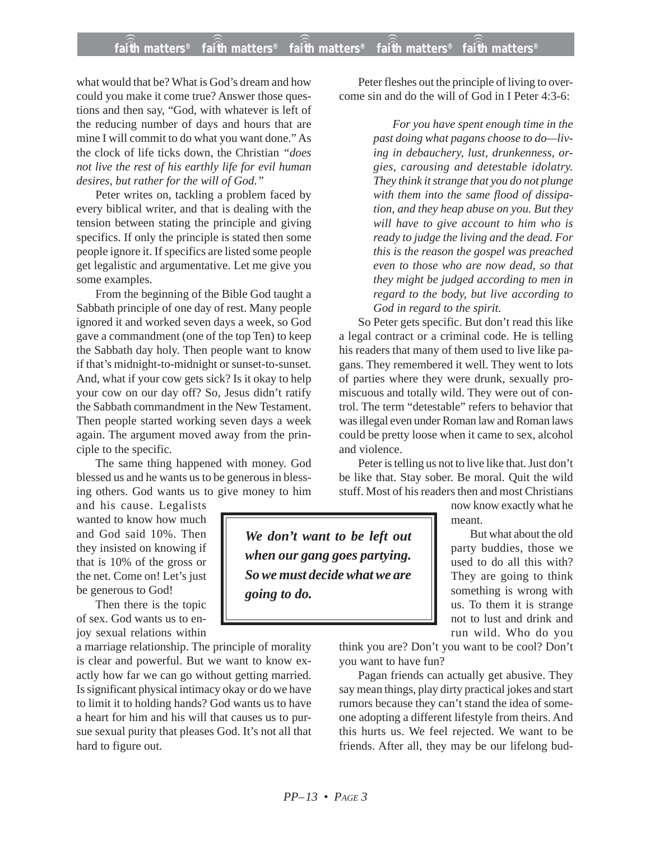## **faith matters® faith matters® faith matters® faith matters® faith matters®** ))) ))) ))) ))) )))

what would that be? What is God's dream and how could you make it come true? Answer those questions and then say, "God, with whatever is left of the reducing number of days and hours that are mine I will commit to do what you want done." As the clock of life ticks down, the Christian *"does not live the rest of his earthly life for evil human desires, but rather for the will of God."*

Peter writes on, tackling a problem faced by every biblical writer, and that is dealing with the tension between stating the principle and giving specifics. If only the principle is stated then some people ignore it. If specifics are listed some people get legalistic and argumentative. Let me give you some examples.

From the beginning of the Bible God taught a Sabbath principle of one day of rest. Many people ignored it and worked seven days a week, so God gave a commandment (one of the top Ten) to keep the Sabbath day holy. Then people want to know if that's midnight-to-midnight or sunset-to-sunset. And, what if your cow gets sick? Is it okay to help your cow on our day off? So, Jesus didn't ratify the Sabbath commandment in the New Testament. Then people started working seven days a week again. The argument moved away from the principle to the specific.

The same thing happened with money. God blessed us and he wants us to be generous in blessing others. God wants us to give money to him

and his cause. Legalists wanted to know how much and God said 10%. Then they insisted on knowing if that is 10% of the gross or the net. Come on! Let's just be generous to God!

Then there is the topic of sex. God wants us to enjoy sexual relations within

a marriage relationship. The principle of morality is clear and powerful. But we want to know exactly how far we can go without getting married. Is significant physical intimacy okay or do we have to limit it to holding hands? God wants us to have a heart for him and his will that causes us to pursue sexual purity that pleases God. It's not all that hard to figure out.

Peter fleshes out the principle of living to overcome sin and do the will of God in I Peter 4:3-6:

> *For you have spent enough time in the past doing what pagans choose to do—living in debauchery, lust, drunkenness, orgies, carousing and detestable idolatry. They think it strange that you do not plunge with them into the same flood of dissipation, and they heap abuse on you. But they will have to give account to him who is ready to judge the living and the dead. For this is the reason the gospel was preached even to those who are now dead, so that they might be judged according to men in regard to the body, but live according to God in regard to the spirit.*

So Peter gets specific. But don't read this like a legal contract or a criminal code. He is telling his readers that many of them used to live like pagans. They remembered it well. They went to lots of parties where they were drunk, sexually promiscuous and totally wild. They were out of control. The term "detestable" refers to behavior that was illegal even under Roman law and Roman laws could be pretty loose when it came to sex, alcohol and violence.

Peter is telling us not to live like that. Just don't be like that. Stay sober. Be moral. Quit the wild stuff. Most of his readers then and most Christians

> now know exactly what he meant.

But what about the old party buddies, those we used to do all this with? They are going to think something is wrong with us. To them it is strange not to lust and drink and run wild. Who do you

think you are? Don't you want to be cool? Don't you want to have fun?

Pagan friends can actually get abusive. They say mean things, play dirty practical jokes and start rumors because they can't stand the idea of someone adopting a different lifestyle from theirs. And this hurts us. We feel rejected. We want to be friends. After all, they may be our lifelong bud-

*We don't want to be left out when our gang goes partying. So we must decide what we are going to do.*